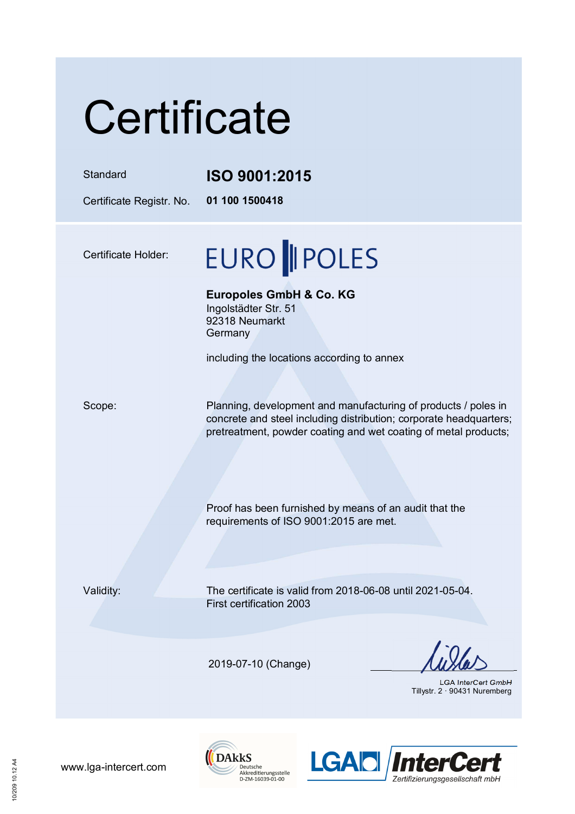# **Certificate**

#### Standard **ISO 9001:2015**

Certificate Registr. No. **01 100 1500418** 

Certificate Holder:

### **EURO || POLES**

**Europoles GmbH & Co. KG**  Ingolstädter Str. 51

92318 Neumarkt **Germany** 

including the locations according to annex

Scope: Planning, development and manufacturing of products / poles in concrete and steel including distribution; corporate headquarters; pretreatment, powder coating and wet coating of metal products;

> Proof has been furnished by means of an audit that the requirements of ISO 9001:2015 are met.

Validity: The certificate is valid from 2018-06-08 until 2021-05-04. First certification 2003

2019-07-10 (Change)

LGA InterCert GmbH Tillystr. 2 · 90431 Nuremberg





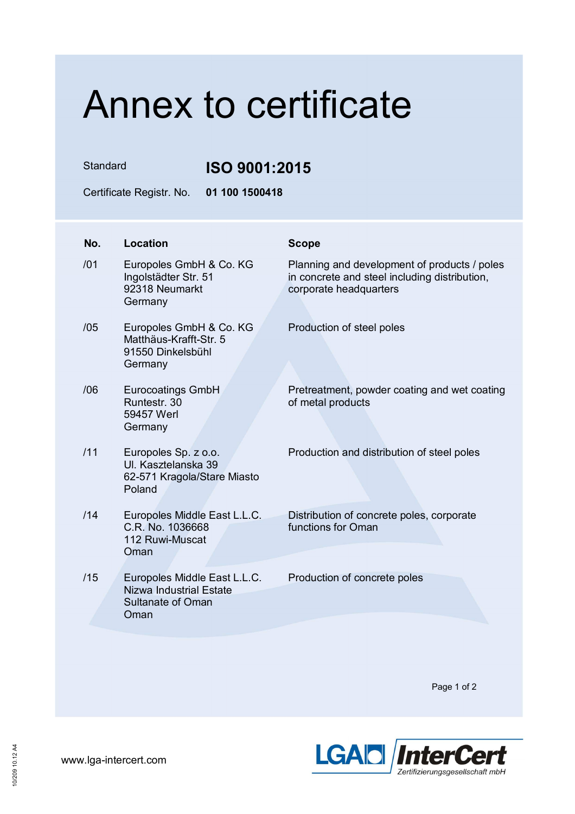## Annex to certificate

Standard **ISO 9001:2015**

Certificate Registr. No. **01 100 1500418** 

| No. | <b>Location</b>                                                                                    | <b>Scope</b>                                                                                                            |
|-----|----------------------------------------------------------------------------------------------------|-------------------------------------------------------------------------------------------------------------------------|
| /01 | Europoles GmbH & Co. KG<br>Ingolstädter Str. 51<br>92318 Neumarkt<br>Germany                       | Planning and development of products / poles<br>in concrete and steel including distribution,<br>corporate headquarters |
| /05 | Europoles GmbH & Co. KG<br>Matthäus-Krafft-Str. 5<br>91550 Dinkelsbühl<br>Germany                  | Production of steel poles                                                                                               |
| /06 | <b>Eurocoatings GmbH</b><br>Runtestr, 30<br>59457 Werl<br>Germany                                  | Pretreatment, powder coating and wet coating<br>of metal products                                                       |
| /11 | Europoles Sp. z o.o.<br>UI. Kasztelanska 39<br>62-571 Kragola/Stare Miasto<br>Poland               | Production and distribution of steel poles                                                                              |
| /14 | Europoles Middle East L.L.C.<br>C.R. No. 1036668<br>112 Ruwi-Muscat<br>Oman                        | Distribution of concrete poles, corporate<br>functions for Oman                                                         |
| /15 | Europoles Middle East L.L.C.<br><b>Nizwa Industrial Estate</b><br><b>Sultanate of Oman</b><br>Oman | Production of concrete poles                                                                                            |

Page 1 of 2